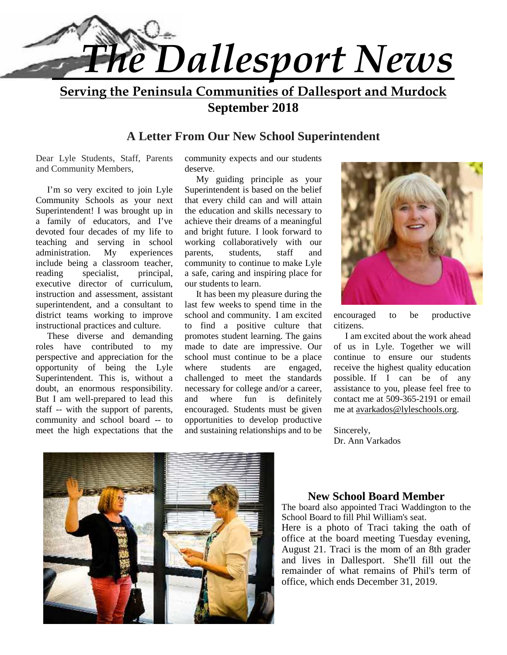

**Serving the Peninsula Communities of Dallesport and Murdock September 2018**

# **A Letter From Our New School Superintendent**

Dear Lyle Students, Staff, Parents and Community Members,

 I'm so very excited to join Lyle Community Schools as your next Superintendent! I was brought up in a family of educators, and I've devoted four decades of my life to teaching and serving in school administration. My experiences parents, include being a classroom teacher, reading specialist, principal, executive director of curriculum, instruction and assessment, assistant superintendent, and a consultant to district teams working to improve instructional practices and culture.

 These diverse and demanding roles have contributed to my perspective and appreciation for the opportunity of being the Lyle Superintendent. This is, without a doubt, an enormous responsibility. But I am well-prepared to lead this and staff -- with the support of parents, community and school board -- to meet the high expectations that the

community expects and our students deserve.

 My guiding principle as your Superintendent is based on the belief that every child can and will attain the education and skills necessary to achieve their dreams of a meaningful and bright future. I look forward to working collaboratively with our students, staff and community to continue to make Lyle a safe, caring and inspiring place for our students to learn.

 It has been my pleasure during the last few weeks to spend time in the school and community. I am excited to find a positive culture that promotes student learning. The gains made to date are impressive. Our school must continue to be a place students are engaged, challenged to meet the standards necessary for college and/or a career, where fun is definitely encouraged. Students must be given opportunities to develop productive and sustaining relationships and to be



encouraged to be productive citizens.

 I am excited about the work ahead of us in Lyle. Together we will continue to ensure our students receive the highest quality education possible. If I can be of any assistance to you, please feel free to contact me at 509-365-2191 or email me at avarkados@lyleschools.org.

Sincerely, Dr. Ann Varkados



# **New School Board Member**

The board also appointed Traci Waddington to the School Board to fill Phil William's seat.

Here is a photo of Traci taking the oath of office at the board meeting Tuesday evening, August 21. Traci is the mom of an 8th grader and lives in Dallesport. She'll fill out the remainder of what remains of Phil's term of office, which ends December 31, 2019.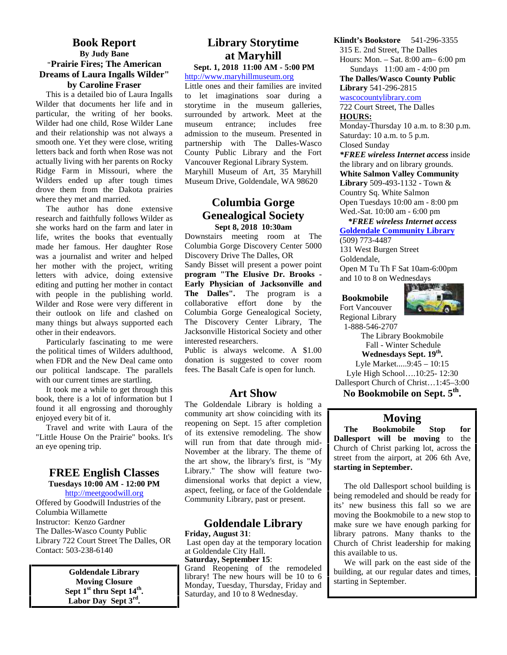#### **Book Report By Judy Bane "Prairie Fires; The American Dreams of Laura Ingalls Wilder" by Caroline Fraser**

This is a detailed bio of Laura Ingalls Wilder that documents her life and in particular, the writing of her books. Wilder had one child, Rose Wilder Lane museum and their relationship was not always a smooth one. Yet they were close, writing letters back and forth when Rose was not actually living with her parents on Rocky Ridge Farm in Missouri, where the Wilders ended up after tough times drove them from the Dakota prairies where they met and married.

The author has done extensive research and faithfully follows Wilder as she works hard on the farm and later in life, writes the books that eventually made her famous. Her daughter Rose was a journalist and writer and helped her mother with the project, writing letters with advice, doing extensive editing and putting her mother in contact with people in the publishing world. Wilder and Rose were very different in their outlook on life and clashed on many things but always supported each other in their endeavors.

Particularly fascinating to me were the political times of Wilders adulthood, when FDR and the New Deal came onto our political landscape. The parallels with our current times are startling.

It took me a while to get through this book, there is a lot of information but I found it all engrossing and thoroughly enjoyed every bit of it.

Travel and write with Laura of the "Little House On the Prairie" books. It's an eye opening trip.

#### **FREE English Classes Tuesdays 10:00 AM - 12:00 PM**

http://meetgoodwill.org

Offered by Goodwill Industries of the Columbia Willamette Instructor: Kenzo Gardner The Dalles-Wasco County Public Library 722 Court Street The Dalles, OR Contact: 503-238-6140

> **Goldendale Library Moving Closure Sept 1st thru Sept 14th . Labor Day Sept 3rd .**

# **Library Storytime at Maryhill**

**Sept. 1, 2018 11:00 AM - 5:00 PM** http://www.maryhillmuseum.org

Little ones and their families are invited to let imaginations soar during a storytime in the museum galleries, surrounded by artwork. Meet at the entrance; includes free admission to the museum. Presented in partnership with The Dalles-Wasco County Public Library and the Fort Vancouver Regional Library System. Maryhill Museum of Art, 35 Maryhill Museum Drive, Goldendale, WA 98620

# **Columbia Gorge Genealogical Society Sept 8, 2018 10:30am**

Downstairs meeting room at The Columbia Gorge Discovery Center 5000 Discovery Drive The Dalles, OR Sandy Bisset will present a power point **program "The Elusive Dr. Brooks - Early Physician of Jacksonville and The Dalles".** The program is a collaborative effort done by the Columbia Gorge Genealogical Society, The Discovery Center Library, The Jacksonville Historical Society and other interested researchers.

Public is always welcome. A \$1.00 donation is suggested to cover room fees. The Basalt Cafe is open for lunch.

# **Art Show**

The Goldendale Library is holding a community art show coinciding with its reopening on Sept. 15 after completion<br>
of its autonoise amodeling. The show of its extensive remodeling. The show will run from that date through mid- November at the library. The theme of the art show, the library's first, is "My Library." The show will feature two dimensional works that depict a view, aspect, feeling, or face of the Goldendale Community Library, past or present.

#### **Goldendale Library Friday, August 31**:

 Last open day at the temporary location at Goldendale City Hall.

**Saturday, September 15**: Grand Reopening of the remodeled library! The new hours will be 10 to 6 Monday, Tuesday, Thursday, Friday and Saturday, and 10 to 8 Wednesday.

**Klindt's Bookstore** 541-296-3355

315 E. 2nd Street, The Dalles Hours: Mon. – Sat. 8:00 am– 6:00 pm Sundays 11:00 am - 4:00 pm

**The Dalles/Wasco County Public Library** 541-296-2815

wascocountylibrary.com

722 Court Street, The Dalles **HOURS:**

Monday-Thursday 10 a.m. to 8:30 p.m. Saturday: 10 a.m. to 5 p.m. Closed Sunday

*\*FREE wireless Internet access* inside the library and on library grounds. **White Salmon Valley Community Library** 509-493-1132 - Town & Country Sq. White Salmon Open Tuesdays 10:00 am - 8:00 pm

Wed.-Sat. 10:00 am - 6:00 pm

 *\*FREE wireless Internet access* **Goldendale Community Library**

(509) 773-4487 131 West Burgen Street

Goldendale,

Open M Tu Th F Sat 10am-6:00pm and 10 to 8 on Wednesdays

#### **Bookmobile**

Fort Vancouver Regional Library



1-888-546-2707

The Library Bookmobile Fall - Winter Schedule

**Wednesdays Sept. 19th .** Lyle Market.....9:45 – 10:15 Lyle High School….10:25- 12:30 Dallesport Church of Christ…1:45–3:00 **No Bookmobile on Sept. 5th .**

# **Moving**

**The Bookmobile Stop for Dallesport will be moving** to the Church of Christ parking lot, across the street from the airport, at 206 6th Ave, **starting in September.**

The old Dallesport school building is being remodeled and should be ready for its' new business this fall so we are moving the Bookmobile to a new stop to make sure we have enough parking for library patrons. Many thanks to the Church of Christ leadership for making this available to us.

We will park on the east side of the building, at our regular dates and times, starting in September.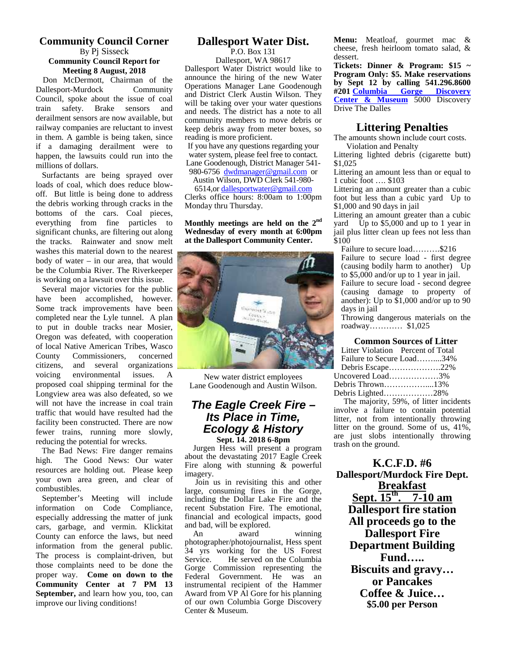#### **Community Council Corner** By Pj Sisseck **Community Council Report for Meeting 8 August, 2018**

 Don McDermott, Chairman of the Dallesport-Murdock Community Council, spoke about the issue of coal train safety. Brake sensors and derailment sensors are now available, but railway companies are reluctant to invest in them. A gamble is being taken, since if a damaging derailment were to happen, the lawsuits could run into the millions of dollars.

 Surfactants are being sprayed over loads of coal, which does reduce blow off. But little is being done to address the debris working through cracks in the bottoms of the cars. Coal pieces, everything from fine particles to significant chunks, are filtering out along the tracks. Rainwater and snow melt washes this material down to the nearest body of water – in our area, that would be the Columbia River. The Riverkeeper is working on a lawsuit over this issue.

 Several major victories for the public have been accomplished, however. Some track improvements have been completed near the Lyle tunnel. A plan to put in double tracks near Mosier, Oregon was defeated, with cooperation of local Native American Tribes, Wasco County Commissioners, concerned citizens, and several organizations voicing environmental issues. A proposed coal shipping terminal for the Longview area was also defeated, so we will not have the increase in coal train traffic that would have resulted had the facility been constructed. There are now fewer trains, running more slowly, reducing the potential for wrecks.

 The Bad News: Fire danger remains high. The Good News: Our water resources are holding out. Please keep your own area green, and clear of combustibles.

 September's Meeting will include information on Code Compliance, especially addressing the matter of junk cars, garbage, and vermin. Klickitat County can enforce the laws, but need An information from the general public. The process is complaint-driven, but  $\frac{54}{\text{Service}}$ . those complaints need to be done the proper way. **Come on down to the Community Center at 7 PM 13 September,** and learn how you, too, can improve our living conditions!

# **Dallesport Water Dist.**

P.O. Box 131 Dallesport, WA 98617

Dallesport Water District would like to announce the hiring of the new Water Operations Manager Lane Goodenough and District Clerk Austin Wilson. They will be taking over your water questions and needs. The district has a note to all community members to move debris or keep debris away from meter boxes, so reading is more proficient.

If you have any questions regarding your water system, please feel free to contact. Lane Goodenough, District Manager 541-

980-6756 dwdmanager@gmail.com or Austin Wilson, DWD Clerk 541-980-

6514,or dallesportwater@gmail.com

Clerks office hours: 8:00am to 1:00pm Monday thru Thursday.

**Monthly meetings are held on the 2nd Wednesday of every month at 6:00pm at the Dallesport Community Center.**



New water district employees Lane Goodenough and Austin Wilson.

# *The Eagle Creek Fire – Its Place in Time, Ecology & History* **Sept. 14. 2018 6-8pm**

 Jurgen Hess will present a program about the devastating 2017 Eagle Creek Fire along with stunning & powerful imagery.

 Join us in revisiting this and other large, consuming fires in the Gorge, including the Dollar Lake Fire and the recent Substation Fire. The emotional, financial and ecological impacts, good and bad, will be explored.<br>An award

winning photographer/photojournalist, Hess spent 34 yrs working for the US Forest He served on the Columbia Gorge Commission representing the Federal Government. He was an instrumental recipient of the Hammer Award from VP Al Gore for his planning of our own Columbia Gorge Discovery Center & Museum.

**Menu:** Meatloaf, gourmet mac & cheese, fresh heirloom tomato salad, & dessert.

**Tickets: Dinner & Program: \$15 ~ Program Only: \$5. Make reservations by Sept 12 by calling 541.296.8600 #201 Columbia Gorge Discovery Center & Museum** 5000 Discovery Drive The Dalles

# **Littering Penalties**

The amounts shown include court costs. Violation and Penalty

Littering lighted debris (cigarette butt) \$1,025

Littering an amount less than or equal to 1 cubic foot …. \$103

Littering an amount greater than a cubic foot but less than a cubic yard Up to \$1,000 and 90 days in jail

Littering an amount greater than a cubic yard  $\overline{U}$ p to \$5,000 and up to 1 year in jail plus litter clean up fees not less than \$100

Failure to secure load……….\$216 Failure to secure load - first degree (causing bodily harm to another) Up to \$5,000 and/or up to 1 year in jail. Failure to secure load - second degree (causing damage to property of another): Up to \$1,000 and/or up to 90 days in jail

Throwing dangerous materials on the roadway………… \$1,025

#### **Common Sources of Litter**

| Litter Violation Percent of Total |  |
|-----------------------------------|--|
| Failure to Secure Load34%         |  |
| Debris Escape22%                  |  |
| Uncovered Load3%                  |  |
| Debris Thrown13%                  |  |
| Debris Lighted28%                 |  |

The majority, 59%, of litter incidents involve a failure to contain potential litter, not from intentionally throwing litter on the ground. Some of us, 41%, are just slobs intentionally throwing trash on the ground.

**K.C.F.D. #6 Dallesport/Murdock Fire Dept. Breakfast Sept. 15th . 7-10 am Dallesport fire station All proceeds go to the Dallesport Fire Department Building Fund….. Biscuits and gravy… or Pancakes Coffee & Juice… \$5.00 per Person**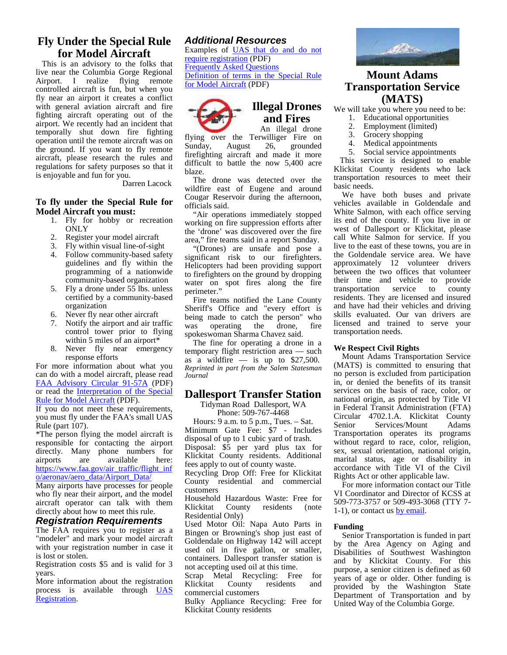# **Fly Under the Special Rule for Model Aircraft**

This is an advisory to the folks that live near the Columbia Gorge Regional Airport. I realize flying remote controlled aircraft is fun, but when you fly near an airport it creates a conflict with general aviation aircraft and fire fighting aircraft operating out of the airport. We recently had an incident that temporally shut down fire fighting operation until the remote aircraft was on the ground. If you want to fly remote aircraft, please research the rules and regulations for safety purposes so that it is enjoyable and fun for you.

Darren Lacock

#### **To fly under the Special Rule for Model Aircraft you must:**

- 1. Fly for hobby or recreation **ONLY**
- 2. Register your model aircraft
- 3. Fly within visual line-of-sight
- 4. Follow community-based safety guidelines and fly within the programming of a nationwide community-based organization
- 5. Fly a drone under 55 lbs. unless certified by a community-based organization
- 6. Never fly near other aircraft<br>7. Notify the airport and air tra
- Notify the airport and air traffic  $\frac{\text{def}}{\text{was}}$ control tower prior to flying within 5 miles of an airport\*
- 8. Never fly near emergency response efforts

For more information about what you can do with a model aircraft, please read FAA Advisory Circular 91-57A (PDF) or read the Interpretation of the Special Rule for Model Aircraft (PDF).

If you do not meet these requirements, you must fly under the FAA's small UAS Rule (part 107).

\*The person flying the model aircraft is responsible for contacting the airport directly. Many phone numbers for airports are available here: https://www.faa.gov/air\_traffic/flight\_inf o/aeronav/aero\_data/Airport\_Data/

Many airports have processes for people who fly near their airport, and the model aircraft operator can talk with them Klickitat directly about how to meet this rule.

#### *Registration Requirements*

The FAA requires you to register as a "modeler" and mark your model aircraft with your registration number in case it is lost or stolen.

Registration costs \$5 and is valid for 3 years.

More information about the registration process is available through **UAS** Registration.

#### *Additional Resources*

Examples of UAS that do and do not require registration (PDF) Frequently Asked Questions Definition of terms in the Special Rule for Model Aircraft (PDF)



# **Illegal Drones and Fires**

An illegal drone  $\frac{2}{3}$ . flying over the Terwilliger Fire on  $\frac{3}{4}$ Sunday, August 26, grounded firefighting aircraft and made it more difficult to battle the now 5,400 acre blaze.

The drone was detected over the wildfire east of Eugene and around Cougar Reservoir during the afternoon, officials said.

"Air operations immediately stopped working on fire suppression efforts after the 'drone' was discovered over the fire area," fire teams said in a report Sunday.

"(Drones) are unsafe and pose a significant risk to our firefighters. Helicopters had been providing support to firefighters on the ground by dropping water on spot fires along the fire perimeter."

Fire teams notified the Lane County Sheriff's Office and "every effort is being made to catch the person" who operating the drone, fire spokeswoman Sharma Chavez said.

The fine for operating a drone in a temporary flight restriction area — such as a wildfire — is up to  $$27,500$ . *Reprinted in part from the Salem Statesman Journal*

#### **Dallesport Transfer Station**

Tidyman Road Dallesport, WA

Phone: 509-767-4468 Hours: 9 a.m. to 5 p.m., Tues. – Sat. Frours:  $\frac{9}{2}$  a.m. to  $\frac{3}{2}$  p.m.,  $\frac{1}{2}$  ues.  $\frac{3}{2}$  – Sat. Senior<br>Minimum Gate Fee: \$7 - Includes  $\frac{3}{2}$  – Trease disposal of up to 1 cubic yard of trash. Disposal: \$5 per yard plus tax for Klickitat County residents. Additional fees apply to out of county waste.

Recycling Drop Off: Free for Klickitat County residential and commercial customers

Household Hazardous Waste: Free for residents (note Residential Only)

Used Motor Oil: Napa Auto Parts in Bingen or Browning's shop just east of Goldendale on Highway 142 will accept used oil in five gallon, or smaller, containers. Dallesport transfer station is not accepting used oil at this time.

Scrap Metal Recycling: Free for Klickitat County residents and commercial customers

Bulky Appliance Recycling: Free for Klickitat County residents



# **Mount Adams Transportation Service (MATS)**

We will take you where you need to be:

- 1. Educational opportunities
- Employment (limited)
- Grocery shopping
- Medical appointments
- 5. Social service appointments

 This service is designed to enable Klickitat County residents who lack transportation resources to meet their basic needs.

 We have both buses and private vehicles available in Goldendale and White Salmon, with each office serving its end of the county. If you live in or west of Dallesport or Klickitat, please call White Salmon for service. If you live to the east of these towns, you are in the Goldendale service area. We have approximately 12 volunteer drivers between the two offices that volunteer their time and vehicle to provide<br>transportation service to county transportation service to residents. They are licensed and insured and have had their vehicles and driving skills evaluated. Our van drivers are licensed and trained to serve your transportation needs.

#### **We Respect Civil Rights**

 Mount Adams Transportation Service (MATS) is committed to ensuring that no person is excluded from participation in, or denied the benefits of its transit services on the basis of race, color, or national origin, as protected by Title VI in Federal Transit Administration (FTA) Circular 4702.1.A. Klickitat County Services/Mount Adams Transportation operates its programs without regard to race, color, religion, sex, sexual orientation, national origin, marital status, age or disability in accordance with Title VI of the Civil Rights Act or other applicable law.

 For more information contact our Title VI Coordinator and Director of KCSS at 509-773-3757 or 509-493-3068 (TTY 7- 1-1), or contact us by email.

#### **Funding**

 Senior Transportation is funded in part by the Area Agency on Aging and Disabilities of Southwest Washington and by Klickitat County. For this purpose, a senior citizen is defined as 60 years of age or older. Other funding is provided by the Washington State Department of Transportation and by United Way of the Columbia Gorge.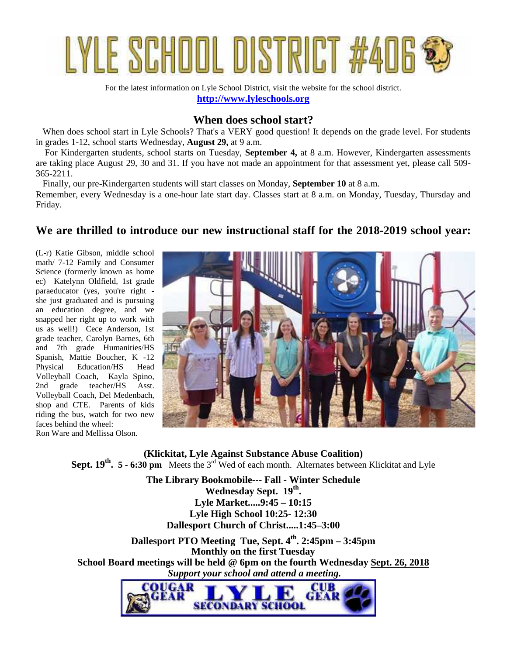

For the latest information on Lyle School District, visit the website for the school district. **http://www.lyleschools.org**

# **When does school start?**

When does school start in Lyle Schools? That's a VERY good question! It depends on the grade level. For students in grades 1-12, school starts Wednesday, **August 29,** at 9 a.m.

For Kindergarten students, school starts on Tuesday, **September 4,** at 8 a.m. However, Kindergarten assessments are taking place August 29, 30 and 31. If you have not made an appointment for that assessment yet, please call 509- 365-2211.

Finally, our pre-Kindergarten students will start classes on Monday, **September 10** at 8 a.m. Remember, every Wednesday is a one-hour late start day. Classes start at 8 a.m. on Monday, Tuesday, Thursday and Friday.

# **We are thrilled to introduce our new instructional staff for the 2018-2019 school year:**

(L-r) Katie Gibson, middle school math/ 7-12 Family and Consumer Science (formerly known as home ec) Katelynn Oldfield, 1st grade paraeducator (yes, you're right she just graduated and is pursuing an education degree, and we snapped her right up to work with us as well!) Cece Anderson, 1st grade teacher, Carolyn Barnes, 6th and 7th grade Humanities/HS Spanish, Mattie Boucher, K -12 Physical Education/HS Head Volleyball Coach, Kayla Spino, 2nd grade teacher/HS Asst. Volleyball Coach, Del Medenbach, shop and CTE. Parents of kids riding the bus, watch for two new faces behind the wheel: Ron Ware and Mellissa Olson.



**(Klickitat, Lyle Against Substance Abuse Coalition) Sept. 19<sup>th</sup>. 5 - 6:30 pm** Meets the 3<sup>rd</sup> Wed of each month. Alternates between Klickitat and Lyle

> **The Library Bookmobile--- Fall - Winter Schedule Wednesday Sept. 19th . Lyle Market.....9:45 – 10:15 Lyle High School 10:25- 12:30 Dallesport Church of Christ.....1:45–3:00**

**Dallesport PTO Meeting Tue, Sept. 4th . 2:45pm – 3:45pm Monthly on the first Tuesday School Board meetings will be held @ 6pm on the fourth Wednesday Sept. 26, 2018**  *Support your school and attend a meeting.*

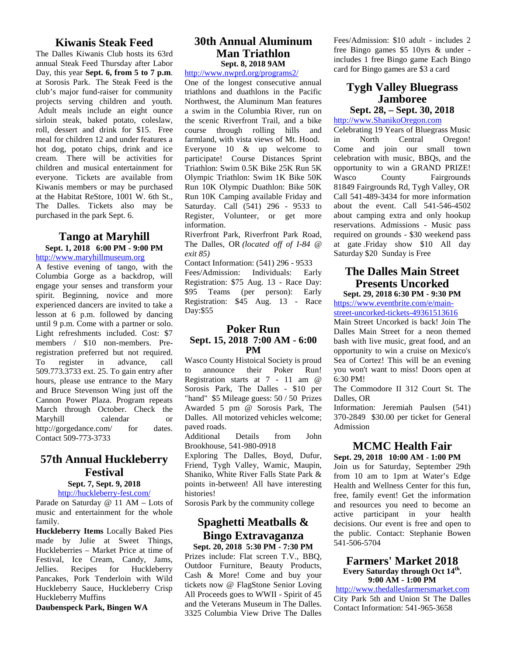# **Kiwanis Steak Feed**

The Dalles Kiwanis Club hosts its 63rd annual Steak Feed Thursday after Labor Day, this year **Sept. 6, from 5 to 7 p.m**. at Sorosis Park. The Steak Feed is the club's major fund-raiser for community projects serving children and youth. Adult meals include an eight ounce sirloin steak, baked potato, coleslaw, roll, dessert and drink for \$15. Free meal for children 12 and under features a hot dog, potato chips, drink and ice cream. There will be activities for children and musical entertainment for everyone. Tickets are available from Kiwanis members or may be purchased at the Habitat ReStore, 1001 W. 6th St., The Dalles. Tickets also may be purchased in the park Sept. 6.

# **Tango at Maryhill**

**Sept. 1, 2018 6:00 PM - 9:00 PM** http://www.maryhillmuseum.org

A festive evening of tango, with the Columbia Gorge as a backdrop, will engage your senses and transform your spirit. Beginning, novice and more experienced dancers are invited to take a lesson at 6 p.m. followed by dancing until 9 p.m. Come with a partner or solo. Light refreshments included. Cost: \$7 members / \$10 non-members. Preregistration preferred but not required. To register in advance, call 509.773.3733 ext. 25. To gain entry after hours, please use entrance to the Mary and Bruce Stevenson Wing just off the Cannon Power Plaza. Program repeats March through October. Check the Maryhill calendar or http://gorgedance.com/ for dates. Contact 509-773-3733

# **57th Annual Huckleberry Festival**

#### **Sept. 7, Sept. 9, 2018** http://huckleberry-fest.com/

Parade on Saturday @ 11 AM – Lots of music and entertainment for the whole family.

**Huckleberry Items** Locally Baked Pies made by Julie at Sweet Things, Huckleberries – Market Price at time of Festival, Ice Cream, Candy, Jams,<br>Jellies. Recipes for Huckleberry Jellies. Recipes for Huckleberry Pancakes, Pork Tenderloin with Wild Huckleberry Sauce, Huckleberry Crisp Huckleberry Muffins

**Daubenspeck Park, Bingen WA**

# **30th Annual Aluminum Man Triathlon Sept. 8, 2018 9AM**

http://www.nwprd.org/programs2/

One of the longest consecutive annual triathlons and duathlons in the Pacific Northwest, the Aluminum Man features a swim in the Columbia River, run on the scenic Riverfront Trail, and a bike course through rolling hills and farmland, with vista views of Mt. Hood. in Everyone 10 & up welcome to participate! Course Distances Sprint Triathlon: Swim 0.5K Bike 25K Run 5K opportu<br>Olympic Triathlon: Swim 1K Bike 50K Wasco Olympic Triathlon: Swim 1K Bike 50K Run 10K Olympic Duathlon: Bike 50K Run 10K Camping available Friday and Saturday. Call (541) 296 - 9533 to Register, Volunteer, or get more information.

Riverfront Park, Riverfront Park Road, The Dalles, OR *(located off of I-84 @ exit 85)*

Contact Information: (541) 296 - 9533 Fees/Admission: Individuals: Early Registration: \$75 Aug. 13 - Race Day: \$95 Teams (per person): Early Registration: \$45 Aug. 13 - Race Day:\$55

# **Poker Run**

#### **Sept. 15, 2018 7:00 AM - 6:00 PM**

Wasco County Histoical Society is proud announce their Poker Run! Registration starts at 7 - 11 am @ Sorosis Park, The Dalles - \$10 per "hand" \$5 Mileage guess: 50 / 50 Prizes Awarded 5 pm @ Sorosis Park, The Dalles. All motorized vehicles welcome; paved roads.

Additional Details from John Brookhouse, 541-980-0918

Exploring The Dalles, Boyd, Dufur, Friend, Tygh Valley, Wamic, Maupin, Shaniko, White River Falls State Park & points in-between! All have interesting histories!

Sorosis Park by the community college

# **Spaghetti Meatballs & Bingo Extravaganza**

**Sept. 20, 2018 5:30 PM - 7:30 PM** Prizes include: Flat screen T.V., BBQ, Outdoor Furniture, Beauty Products, Cash & More! Come and buy your tickets now @ FlagStone Senior Loving All Proceeds goes to WWII - Spirit of 45 and the Veterans Museum in The Dalles. 3325 Columbia View Drive The Dalles Fees/Admission: \$10 adult - includes 2 free Bingo games \$5 10yrs & under includes 1 free Bingo game Each Bingo card for Bingo games are \$3 a card

# **Tygh Valley Bluegrass Jamboree**

**Sept. 28, – Sept. 30, 2018**

http://www.ShanikoOregon.com

Celebrating 19 Years of Bluegrass Music North Central Oregon! Come and join our small town celebration with music, BBQs, and the opportunity to win a GRAND PRIZE! County Fairgrounds 81849 Fairgrounds Rd, Tygh Valley, OR Call 541-489-3434 for more information about the event. Call 541-546-4502 about camping extra and only hookup reservations. Admissions - Music pass required on grounds - \$30 weekend pass at gate .Friday show \$10 All day Saturday \$20 Sunday is Free

### **The Dalles Main Street Presents Uncorked Sept. 29, 2018 6:30 PM - 9:30 PM**

https://www.eventbrite.com/e/main street-uncorked-tickets-49361513616

Main Street Uncorked is back! Join The Dalles Main Street for a neon themed bash with live music, great food, and an opportunity to win a cruise on Mexico's Sea of Cortez! This will be an evening you won't want to miss! Doors open at 6:30 PM!

The Commodore II 312 Court St. The Dalles, OR

Information: Jeremiah Paulsen (541) 370-2849 \$30.00 per ticket for General Admission

# **MCMC Health Fair**

#### **Sept. 29, 2018 10:00 AM - 1:00 PM**

Join us for Saturday, September 29th from 10 am to 1pm at Water's Edge Health and Wellness Center for this fun, free, family event! Get the information and resources you need to become an active participant in your health decisions. Our event is free and open to the public. Contact: Stephanie Bowen 541-506-5704

#### **Farmers' Market 2018 Every Saturday through Oct 14th . 9:00 AM - 1:00 PM**

http://www.thedallesfarmersmarket.com City Park 5th and Union St The Dalles Contact Information: 541-965-3658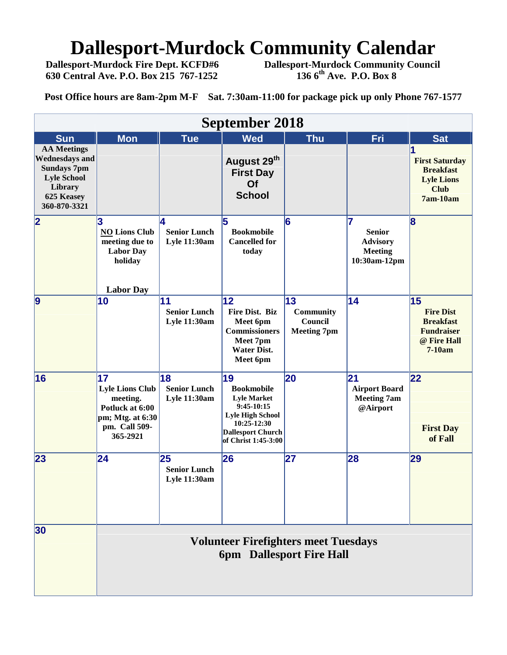# **Dallesport-Murdock Community Calendar**<br>Dallesport-Murdock Fire Dept. KCFD#6 Dallesport-Murdock Community Council

 **630 Central Ave. P.O. Box 215 767-1252 136 6th Ave. P.O. Box 8**

**Dallesport-Murdock Fire Dept. KCFD#6 Dallesport-Murdock Community Council**

**Post Office hours are 8am-2pm M-F Sat. 7:30am-11:00 for package pick up only Phone 767-1577**

| <b>September 2018</b>                                                                                                            |                                                                                                              |                                                  |                                                                                                                                                            |                                                  |                                                                          |                                                                                            |  |  |  |
|----------------------------------------------------------------------------------------------------------------------------------|--------------------------------------------------------------------------------------------------------------|--------------------------------------------------|------------------------------------------------------------------------------------------------------------------------------------------------------------|--------------------------------------------------|--------------------------------------------------------------------------|--------------------------------------------------------------------------------------------|--|--|--|
| <b>Sun</b>                                                                                                                       | <b>Mon</b>                                                                                                   | <b>Tue</b>                                       | <b>Wed</b>                                                                                                                                                 | <b>Thu</b>                                       | Fri                                                                      | <b>Sat</b>                                                                                 |  |  |  |
| <b>AA Meetings</b><br><b>Wednesdays and</b><br><b>Sundays 7pm</b><br><b>Lyle School</b><br>Library<br>625 Keasey<br>360-870-3321 |                                                                                                              |                                                  | August 29th<br><b>First Day</b><br>Of<br><b>School</b>                                                                                                     |                                                  |                                                                          | <b>First Saturday</b><br><b>Breakfast</b><br><b>Lyle Lions</b><br><b>Club</b><br>7am-10am  |  |  |  |
| $\overline{\mathbf{2}}$                                                                                                          | 3<br><b>NO Lions Club</b><br>meeting due to<br><b>Labor Day</b><br>holiday<br><b>Labor Day</b>               | 14.<br><b>Senior Lunch</b><br>Lyle 11:30am       | 5<br><b>Bookmobile</b><br><b>Cancelled for</b><br>today                                                                                                    | 6                                                | 17<br><b>Senior</b><br><b>Advisory</b><br><b>Meeting</b><br>10:30am-12pm | $\overline{\mathbf{8}}$                                                                    |  |  |  |
| $\overline{9}$                                                                                                                   | 10                                                                                                           | 11<br><b>Senior Lunch</b><br><b>Lyle 11:30am</b> | 12<br>Fire Dist. Biz<br>Meet 6pm<br><b>Commissioners</b><br>Meet 7pm<br><b>Water Dist.</b><br>Meet 6pm                                                     | 13<br>Community<br>Council<br><b>Meeting 7pm</b> | 14                                                                       | 15<br><b>Fire Dist</b><br><b>Breakfast</b><br><b>Fundraiser</b><br>@ Fire Hall<br>$7-10am$ |  |  |  |
| 16                                                                                                                               | 17<br><b>Lyle Lions Club</b><br>meeting.<br>Potluck at 6:00<br>pm; Mtg. at 6:30<br>pm. Call 509-<br>365-2921 | 18<br><b>Senior Lunch</b><br><b>Lyle 11:30am</b> | 19<br><b>Bookmobile</b><br><b>Lyle Market</b><br>$9:45-10:15$<br><b>Lyle High School</b><br>10:25-12:30<br><b>Dallesport Church</b><br>of Christ 1:45-3:00 | 20                                               | $\mathbf{21}$<br><b>Airport Board</b><br><b>Meeting 7am</b><br>@Airport  | 22<br><b>First Day</b><br>of Fall                                                          |  |  |  |
| 23                                                                                                                               | 24                                                                                                           | 25<br><b>Senior Lunch</b><br>Lyle 11:30am        | 26                                                                                                                                                         | 27                                               | 28                                                                       | 29                                                                                         |  |  |  |
| 30                                                                                                                               | <b>Volunteer Firefighters meet Tuesdays</b><br><b>6pm</b> Dallesport Fire Hall                               |                                                  |                                                                                                                                                            |                                                  |                                                                          |                                                                                            |  |  |  |